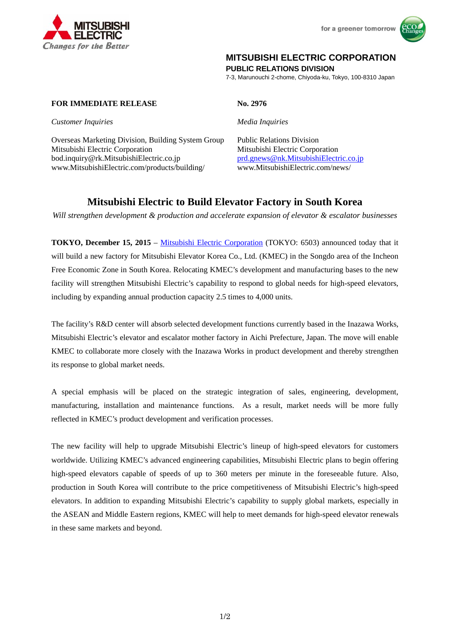



# **MITSUBISHI ELECTRIC CORPORATION**

**PUBLIC RELATIONS DIVISION** 

7-3, Marunouchi 2-chome, Chiyoda-ku, Tokyo, 100-8310 Japan

### **FOR IMMEDIATE RELEASE No. 2976**

*Customer Inquiries Media Inquiries* 

Overseas Marketing Division, Building System Group Public Relations Division Mitsubishi Electric Corporation Mitsubishi Electric Corporation bod.inquiry@rk.MitsubishiElectric.co.jp prd.gnews@nk.MitsubishiElectric.co.jp www.MitsubishiElectric.com/products/building/ www.MitsubishiElectric.com/news/

# **Mitsubishi Electric to Build Elevator Factory in South Korea**

*Will strengthen development & production and accelerate expansion of elevator & escalator businesses* 

**TOKYO, December 15, 2015** – Mitsubishi Electric Corporation (TOKYO: 6503) announced today that it will build a new factory for Mitsubishi Elevator Korea Co., Ltd. (KMEC) in the Songdo area of the Incheon Free Economic Zone in South Korea. Relocating KMEC's development and manufacturing bases to the new facility will strengthen Mitsubishi Electric's capability to respond to global needs for high-speed elevators, including by expanding annual production capacity 2.5 times to 4,000 units.

The facility's R&D center will absorb selected development functions currently based in the Inazawa Works, Mitsubishi Electric's elevator and escalator mother factory in Aichi Prefecture, Japan. The move will enable KMEC to collaborate more closely with the Inazawa Works in product development and thereby strengthen its response to global market needs.

A special emphasis will be placed on the strategic integration of sales, engineering, development, manufacturing, installation and maintenance functions. As a result, market needs will be more fully reflected in KMEC's product development and verification processes.

The new facility will help to upgrade Mitsubishi Electric's lineup of high-speed elevators for customers worldwide. Utilizing KMEC's advanced engineering capabilities, Mitsubishi Electric plans to begin offering high-speed elevators capable of speeds of up to 360 meters per minute in the foreseeable future. Also, production in South Korea will contribute to the price competitiveness of Mitsubishi Electric's high-speed elevators. In addition to expanding Mitsubishi Electric's capability to supply global markets, especially in the ASEAN and Middle Eastern regions, KMEC will help to meet demands for high-speed elevator renewals in these same markets and beyond.